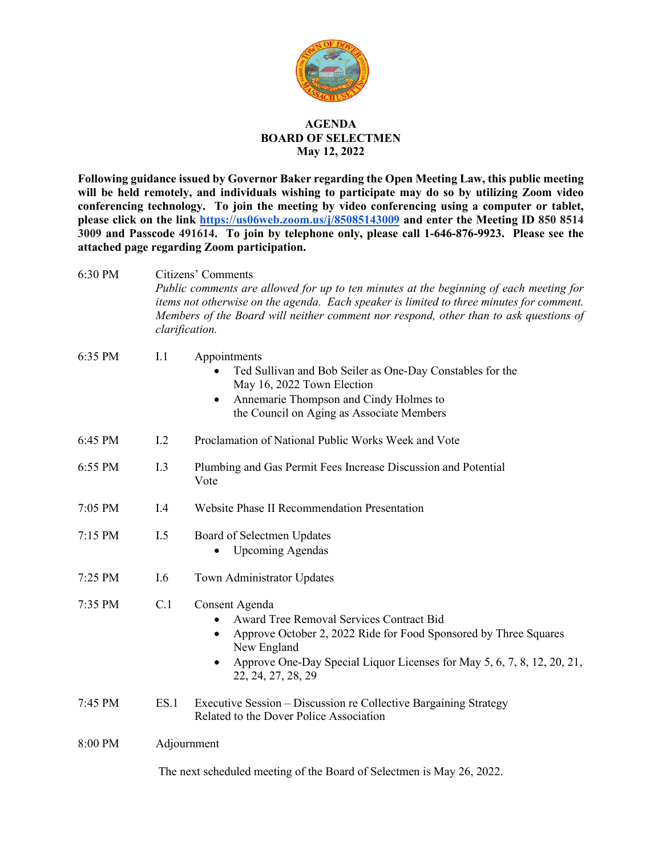

## **AGENDA BOARD OF SELECTMEN May 12, 2022**

**Following guidance issued by Governor Baker regarding the Open Meeting Law, this public meeting will be held remotely, and individuals wishing to participate may do so by utilizing Zoom video conferencing technology. To join the meeting by video conferencing using a computer or tablet, please click on the link <https://us06web.zoom.us/j/85085143009> and enter the Meeting ID 850 8514 3009 and Passcode 491614. To join by telephone only, please call 1-646-876-9923. Please see the attached page regarding Zoom participation.**

6:30 PM Citizens' Comments *Public comments are allowed for up to ten minutes at the beginning of each meeting for items not otherwise on the agenda. Each speaker is limited to three minutes for comment. Members of the Board will neither comment nor respond, other than to ask questions of clarification.*  6:35 PM I.1 Appointments • Ted Sullivan and Bob Seiler as One-Day Constables for the May 16, 2022 Town Election • Annemarie Thompson and Cindy Holmes to the Council on Aging as Associate Members 6:45 PM I.2 Proclamation of National Public Works Week and Vote 6:55 PM I.3 Plumbing and Gas Permit Fees Increase Discussion and Potential Vote 7:05 PM I.4 Website Phase II Recommendation Presentation 7:15 PM I.5 Board of Selectmen Updates • Upcoming Agendas 7:25 PM I.6 Town Administrator Updates 7:35 PM C.1 Consent Agenda • Award Tree Removal Services Contract Bid • Approve October 2, 2022 Ride for Food Sponsored by Three Squares New England • Approve One-Day Special Liquor Licenses for May 5, 6, 7, 8, 12, 20, 21, 22, 24, 27, 28, 29 7:45 PM ES.1 Executive Session – Discussion re Collective Bargaining Strategy Related to the Dover Police Association 8:00 PM Adjournment

The next scheduled meeting of the Board of Selectmen is May 26, 2022.